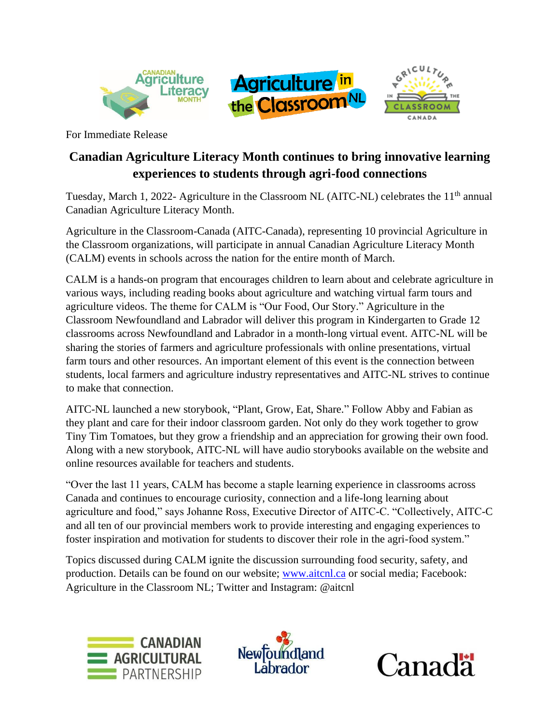





For Immediate Release

## **Canadian Agriculture Literacy Month continues to bring innovative learning experiences to students through agri-food connections**

Tuesday, March 1, 2022- Agriculture in the Classroom NL (AITC-NL) celebrates the 11<sup>th</sup> annual Canadian Agriculture Literacy Month.

Agriculture in the Classroom-Canada (AITC-Canada), representing 10 provincial Agriculture in the Classroom organizations, will participate in annual Canadian Agriculture Literacy Month (CALM) events in schools across the nation for the entire month of March.

CALM is a hands-on program that encourages children to learn about and celebrate agriculture in various ways, including reading books about agriculture and watching virtual farm tours and agriculture videos. The theme for CALM is "Our Food, Our Story." Agriculture in the Classroom Newfoundland and Labrador will deliver this program in Kindergarten to Grade 12 classrooms across Newfoundland and Labrador in a month-long virtual event. AITC-NL will be sharing the stories of farmers and agriculture professionals with online presentations, virtual farm tours and other resources. An important element of this event is the connection between students, local farmers and agriculture industry representatives and AITC-NL strives to continue to make that connection.

AITC-NL launched a new storybook, "Plant, Grow, Eat, Share." Follow Abby and Fabian as they plant and care for their indoor classroom garden. Not only do they work together to grow Tiny Tim Tomatoes, but they grow a friendship and an appreciation for growing their own food. Along with a new storybook, AITC-NL will have audio storybooks available on the website and online resources available for teachers and students.

"Over the last 11 years, CALM has become a staple learning experience in classrooms across Canada and continues to encourage curiosity, connection and a life-long learning about agriculture and food," says Johanne Ross, Executive Director of AITC-C. "Collectively, AITC-C and all ten of our provincial members work to provide interesting and engaging experiences to foster inspiration and motivation for students to discover their role in the agri-food system."

Topics discussed during CALM ignite the discussion surrounding food security, safety, and production. Details can be found on our website; [www.aitcnl.ca](http://www.aitcnl.ca/) or social media; Facebook: Agriculture in the Classroom NL; Twitter and Instagram: @aitcnl